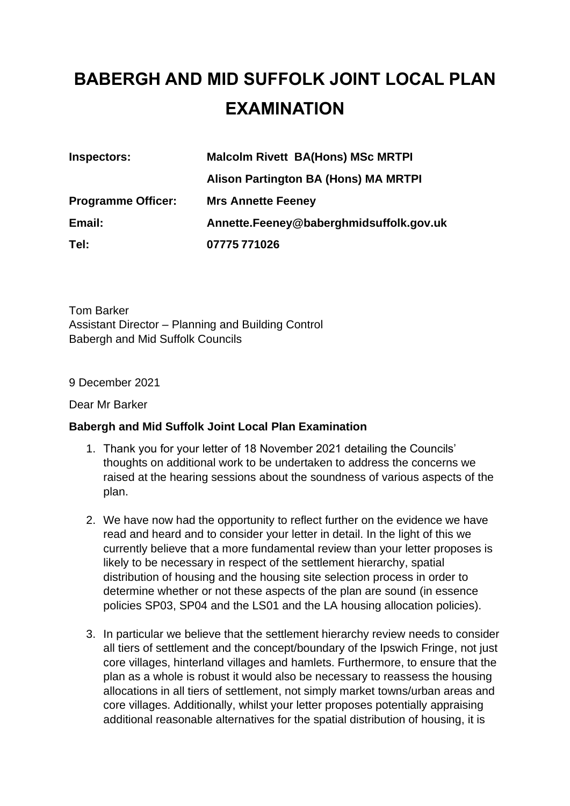## **BABERGH AND MID SUFFOLK JOINT LOCAL PLAN EXAMINATION**

| Inspectors:               | <b>Malcolm Rivett BA(Hons) MSc MRTPI</b> |
|---------------------------|------------------------------------------|
|                           | Alison Partington BA (Hons) MA MRTPI     |
| <b>Programme Officer:</b> | <b>Mrs Annette Feeney</b>                |
| Email:                    | Annette.Feeney@baberghmidsuffolk.gov.uk  |
| Tel:                      | 07775 771026                             |

Tom Barker Assistant Director – Planning and Building Control Babergh and Mid Suffolk Councils

9 December 2021

Dear Mr Barker

## **Babergh and Mid Suffolk Joint Local Plan Examination**

- 1. Thank you for your letter of 18 November 2021 detailing the Councils' thoughts on additional work to be undertaken to address the concerns we raised at the hearing sessions about the soundness of various aspects of the plan.
- 2. We have now had the opportunity to reflect further on the evidence we have read and heard and to consider your letter in detail. In the light of this we currently believe that a more fundamental review than your letter proposes is likely to be necessary in respect of the settlement hierarchy, spatial distribution of housing and the housing site selection process in order to determine whether or not these aspects of the plan are sound (in essence policies SP03, SP04 and the LS01 and the LA housing allocation policies).
- 3. In particular we believe that the settlement hierarchy review needs to consider all tiers of settlement and the concept/boundary of the Ipswich Fringe, not just core villages, hinterland villages and hamlets. Furthermore, to ensure that the plan as a whole is robust it would also be necessary to reassess the housing allocations in all tiers of settlement, not simply market towns/urban areas and core villages. Additionally, whilst your letter proposes potentially appraising additional reasonable alternatives for the spatial distribution of housing, it is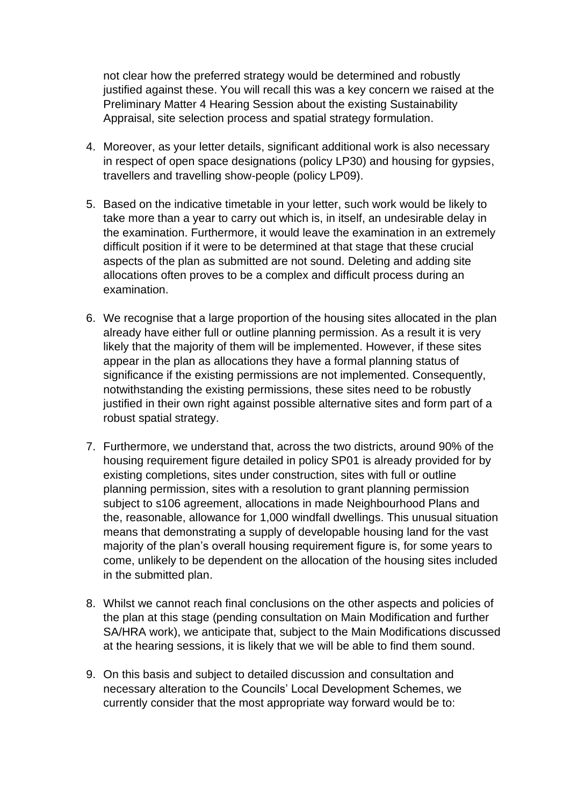not clear how the preferred strategy would be determined and robustly justified against these. You will recall this was a key concern we raised at the Preliminary Matter 4 Hearing Session about the existing Sustainability Appraisal, site selection process and spatial strategy formulation.

- 4. Moreover, as your letter details, significant additional work is also necessary in respect of open space designations (policy LP30) and housing for gypsies, travellers and travelling show-people (policy LP09).
- 5. Based on the indicative timetable in your letter, such work would be likely to take more than a year to carry out which is, in itself, an undesirable delay in the examination. Furthermore, it would leave the examination in an extremely difficult position if it were to be determined at that stage that these crucial aspects of the plan as submitted are not sound. Deleting and adding site allocations often proves to be a complex and difficult process during an examination.
- 6. We recognise that a large proportion of the housing sites allocated in the plan already have either full or outline planning permission. As a result it is very likely that the majority of them will be implemented. However, if these sites appear in the plan as allocations they have a formal planning status of significance if the existing permissions are not implemented. Consequently, notwithstanding the existing permissions, these sites need to be robustly justified in their own right against possible alternative sites and form part of a robust spatial strategy.
- 7. Furthermore, we understand that, across the two districts, around 90% of the housing requirement figure detailed in policy SP01 is already provided for by existing completions, sites under construction, sites with full or outline planning permission, sites with a resolution to grant planning permission subject to s106 agreement, allocations in made Neighbourhood Plans and the, reasonable, allowance for 1,000 windfall dwellings. This unusual situation means that demonstrating a supply of developable housing land for the vast majority of the plan's overall housing requirement figure is, for some years to come, unlikely to be dependent on the allocation of the housing sites included in the submitted plan.
- 8. Whilst we cannot reach final conclusions on the other aspects and policies of the plan at this stage (pending consultation on Main Modification and further SA/HRA work), we anticipate that, subject to the Main Modifications discussed at the hearing sessions, it is likely that we will be able to find them sound.
- 9. On this basis and subject to detailed discussion and consultation and necessary alteration to the Councils' Local Development Schemes, we currently consider that the most appropriate way forward would be to: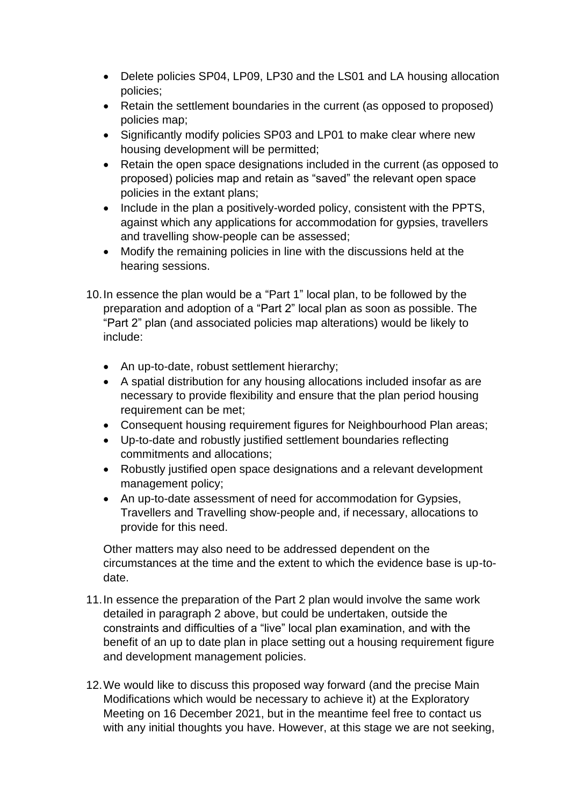- Delete policies SP04, LP09, LP30 and the LS01 and LA housing allocation policies;
- Retain the settlement boundaries in the current (as opposed to proposed) policies map;
- Significantly modify policies SP03 and LP01 to make clear where new housing development will be permitted;
- Retain the open space designations included in the current (as opposed to proposed) policies map and retain as "saved" the relevant open space policies in the extant plans;
- Include in the plan a positively-worded policy, consistent with the PPTS, against which any applications for accommodation for gypsies, travellers and travelling show-people can be assessed;
- Modify the remaining policies in line with the discussions held at the hearing sessions.
- 10.In essence the plan would be a "Part 1" local plan, to be followed by the preparation and adoption of a "Part 2" local plan as soon as possible. The "Part 2" plan (and associated policies map alterations) would be likely to include:
	- An up-to-date, robust settlement hierarchy;
	- A spatial distribution for any housing allocations included insofar as are necessary to provide flexibility and ensure that the plan period housing requirement can be met;
	- Consequent housing requirement figures for Neighbourhood Plan areas;
	- Up-to-date and robustly justified settlement boundaries reflecting commitments and allocations;
	- Robustly justified open space designations and a relevant development management policy;
	- An up-to-date assessment of need for accommodation for Gypsies, Travellers and Travelling show-people and, if necessary, allocations to provide for this need.

Other matters may also need to be addressed dependent on the circumstances at the time and the extent to which the evidence base is up-todate.

- 11.In essence the preparation of the Part 2 plan would involve the same work detailed in paragraph 2 above, but could be undertaken, outside the constraints and difficulties of a "live" local plan examination, and with the benefit of an up to date plan in place setting out a housing requirement figure and development management policies.
- 12.We would like to discuss this proposed way forward (and the precise Main Modifications which would be necessary to achieve it) at the Exploratory Meeting on 16 December 2021, but in the meantime feel free to contact us with any initial thoughts you have. However, at this stage we are not seeking,